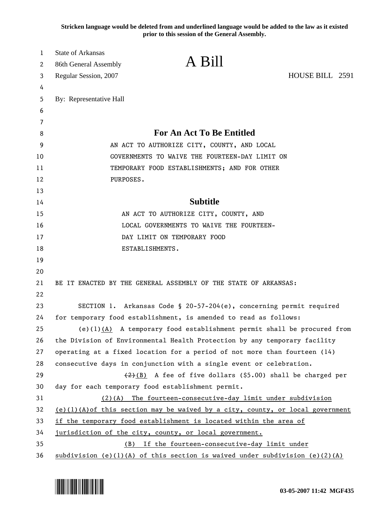**Stricken language would be deleted from and underlined language would be added to the law as it existed prior to this session of the General Assembly.**

| 1  | <b>State of Arkansas</b> |                                                                                  |                 |
|----|--------------------------|----------------------------------------------------------------------------------|-----------------|
| 2  | 86th General Assembly    | A Bill                                                                           |                 |
| 3  | Regular Session, 2007    |                                                                                  | HOUSE BILL 2591 |
| 4  |                          |                                                                                  |                 |
| 5  | By: Representative Hall  |                                                                                  |                 |
| 6  |                          |                                                                                  |                 |
| 7  |                          |                                                                                  |                 |
| 8  |                          | <b>For An Act To Be Entitled</b>                                                 |                 |
| 9  |                          | AN ACT TO AUTHORIZE CITY, COUNTY, AND LOCAL                                      |                 |
| 10 |                          | GOVERNMENTS TO WAIVE THE FOURTEEN-DAY LIMIT ON                                   |                 |
| 11 |                          | TEMPORARY FOOD ESTABLISHMENTS; AND FOR OTHER                                     |                 |
| 12 | PURPOSES.                |                                                                                  |                 |
| 13 |                          |                                                                                  |                 |
| 14 |                          | <b>Subtitle</b>                                                                  |                 |
| 15 |                          | AN ACT TO AUTHORIZE CITY, COUNTY, AND                                            |                 |
| 16 |                          | LOCAL GOVERNMENTS TO WAIVE THE FOURTEEN-                                         |                 |
| 17 |                          | DAY LIMIT ON TEMPORARY FOOD                                                      |                 |
| 18 |                          | ESTABLISHMENTS.                                                                  |                 |
| 19 |                          |                                                                                  |                 |
| 20 |                          |                                                                                  |                 |
| 21 |                          | BE IT ENACTED BY THE GENERAL ASSEMBLY OF THE STATE OF ARKANSAS:                  |                 |
| 22 |                          |                                                                                  |                 |
| 23 |                          | SECTION 1. Arkansas Code § 20-57-204(e), concerning permit required              |                 |
| 24 |                          | for temporary food establishment, is amended to read as follows:                 |                 |
| 25 |                          | (e)(1) $(A)$ A temporary food establishment permit shall be procured from        |                 |
| 26 |                          | the Division of Environmental Health Protection by any temporary facility        |                 |
| 27 |                          | operating at a fixed location for a period of not more than fourteen (14)        |                 |
| 28 |                          | consecutive days in conjunction with a single event or celebration.              |                 |
| 29 |                          | $(2)(B)$ A fee of five dollars (\$5.00) shall be charged per                     |                 |
| 30 |                          | day for each temporary food establishment permit.                                |                 |
| 31 |                          | (2)(A) The fourteen-consecutive-day limit under subdivision                      |                 |
| 32 |                          | $(e)(1)(A)$ of this section may be waived by a city, county, or local government |                 |
| 33 |                          | if the temporary food establishment is located within the area of                |                 |
| 34 |                          | jurisdiction of the city, county, or local government.                           |                 |
| 35 | (B)                      | If the fourteen-consecutive-day limit under                                      |                 |
| 36 |                          | subdivision (e)(1)(A) of this section is waived under subdivision (e)(2)(A)      |                 |